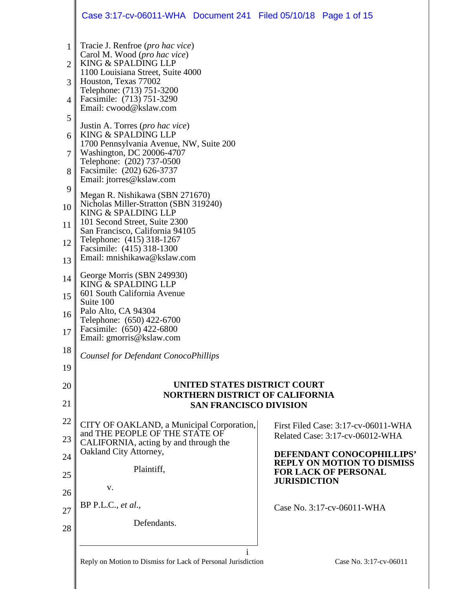|                | Case 3:17-cv-06011-WHA  Document 241  Filed 05/10/18  Page 1 of 15                 |                     |                                                                |
|----------------|------------------------------------------------------------------------------------|---------------------|----------------------------------------------------------------|
| 1              | Tracie J. Renfroe ( <i>pro hac vice</i> )<br>Carol M. Wood (pro hac vice)          |                     |                                                                |
| $\overline{2}$ | KING & SPALDING LLP                                                                |                     |                                                                |
| 3              | 1100 Louisiana Street, Suite 4000<br>Houston, Texas 77002                          |                     |                                                                |
| 4              | Telephone: (713) 751-3200<br>Facsimile: (713) 751-3290                             |                     |                                                                |
| 5              | Email: cwood@kslaw.com                                                             |                     |                                                                |
| 6              | Justin A. Torres ( <i>pro hac vice</i> )<br>KING & SPALDING LLP                    |                     |                                                                |
| 7              | 1700 Pennsylvania Avenue, NW, Suite 200<br>Washington, DC 20006-4707               |                     |                                                                |
| 8              | Telephone: (202) 737-0500<br>Facsimile: (202) 626-3737<br>Email: jtorres@kslaw.com |                     |                                                                |
| 9              | Megan R. Nishikawa (SBN 271670)                                                    |                     |                                                                |
| 10             | Nicholas Miller-Stratton (SBN 319240)<br>KING & SPALDING LLP                       |                     |                                                                |
| 11             | 101 Second Street, Suite 2300<br>San Francisco, California 94105                   |                     |                                                                |
| 12             | Telephone: (415) 318-1267<br>Facsimile: (415) 318-1300                             |                     |                                                                |
| 13             | Email: mnishikawa@kslaw.com                                                        |                     |                                                                |
| 14             | George Morris (SBN 249930)<br>KING & SPALDING LLP                                  |                     |                                                                |
| 15             | 601 South California Avenue<br>Suite 100                                           |                     |                                                                |
| 16             | Palo Alto, CA 94304<br>Telephone: (650) 422-6700                                   |                     |                                                                |
| $17 \parallel$ | Facsimile: (650) 422-6800<br>Email: gmorris@kslaw.com                              |                     |                                                                |
| 18             | <b>Counsel for Defendant ConocoPhillips</b>                                        |                     |                                                                |
| 19             |                                                                                    |                     |                                                                |
| 20             | UNITED STATES DISTRICT COURT<br><b>NORTHERN DISTRICT OF CALIFORNIA</b>             |                     |                                                                |
| 21             | <b>SAN FRANCISCO DIVISION</b>                                                      |                     |                                                                |
| 22             | CITY OF OAKLAND, a Municipal Corporation,                                          |                     | First Filed Case: 3:17-cv-06011-WHA                            |
| 23             | and THE PEOPLE OF THE STATE OF<br>CALIFORNIA, acting by and through the            |                     | Related Case: 3:17-cv-06012-WHA                                |
| 24             | Oakland City Attorney,                                                             |                     | DEFENDANT CONOCOPHILLIPS'<br><b>REPLY ON MOTION TO DISMISS</b> |
| 25             | Plaintiff,                                                                         | <b>JURISDICTION</b> | <b>FOR LACK OF PERSONAL</b>                                    |
| 26             | V.                                                                                 |                     |                                                                |
| 27             | $BP$ P.L.C., et al.,                                                               |                     | Case No. 3:17-cv-06011-WHA                                     |
| 28             | Defendants.                                                                        |                     |                                                                |
|                |                                                                                    |                     |                                                                |
|                | Reply on Motion to Dismiss for Lack of Personal Jurisdiction                       |                     | Case No. 3:17-cv-06011                                         |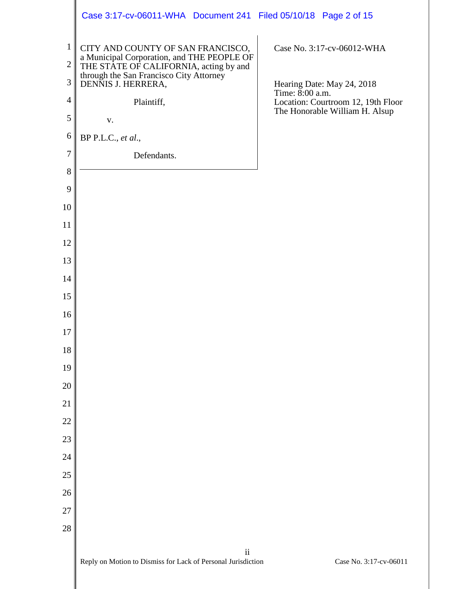|                              | Case 3:17-cv-06011-WHA Document 241 Filed 05/10/18 Page 2 of 15                                                           |                                                       |
|------------------------------|---------------------------------------------------------------------------------------------------------------------------|-------------------------------------------------------|
| $\mathbf{1}$<br>$\mathbf{2}$ | CITY AND COUNTY OF SAN FRANCISCO,<br>a Municipal Corporation, and THE PEOPLE OF<br>THE STATE OF CALIFORNIA, acting by and | Case No. 3:17-cv-06012-WHA                            |
| 3                            | through the San Francisco City Attorney<br>DENNIS J. HERRERA,                                                             | Hearing Date: May 24, 2018                            |
| 4                            | Plaintiff,                                                                                                                | Time: 8:00 a.m.<br>Location: Courtroom 12, 19th Floor |
| $\mathfrak{S}$               | ${\bf V}$ .                                                                                                               | The Honorable William H. Alsup                        |
| 6                            | BP P.L.C., et al.,                                                                                                        |                                                       |
| $\tau$                       | Defendants.                                                                                                               |                                                       |
| $8\,$                        |                                                                                                                           |                                                       |
| 9                            |                                                                                                                           |                                                       |
| 10                           |                                                                                                                           |                                                       |
| 11                           |                                                                                                                           |                                                       |
| 12<br>13                     |                                                                                                                           |                                                       |
| 14                           |                                                                                                                           |                                                       |
| 15                           |                                                                                                                           |                                                       |
| 16                           |                                                                                                                           |                                                       |
| 17                           |                                                                                                                           |                                                       |
| 18                           |                                                                                                                           |                                                       |
| 19                           |                                                                                                                           |                                                       |
| 20                           |                                                                                                                           |                                                       |
| 21                           |                                                                                                                           |                                                       |
| 22                           |                                                                                                                           |                                                       |
| 23                           |                                                                                                                           |                                                       |
| 24                           |                                                                                                                           |                                                       |
| 25<br>26                     |                                                                                                                           |                                                       |
| 27                           |                                                                                                                           |                                                       |
| 28                           |                                                                                                                           |                                                       |
|                              | $\overline{\textbf{ii}}$                                                                                                  |                                                       |
|                              | Reply on Motion to Dismiss for Lack of Personal Jurisdiction                                                              | Case No. 3:17-cv-06011                                |
|                              |                                                                                                                           |                                                       |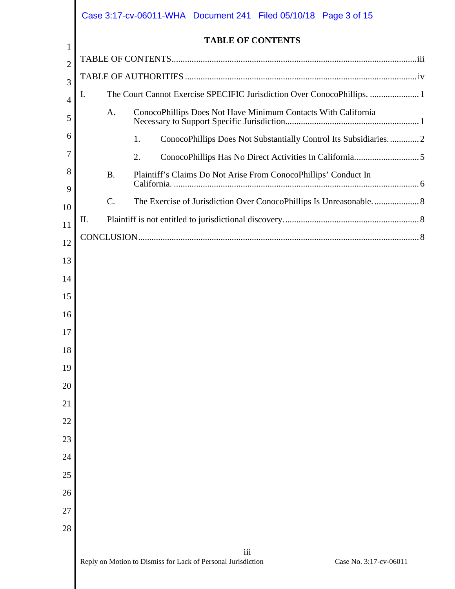|                | Case 3:17-cv-06011-WHA  Document 241  Filed 05/10/18  Page 3 of 15                            |
|----------------|-----------------------------------------------------------------------------------------------|
| 1              | <b>TABLE OF CONTENTS</b>                                                                      |
| $\overline{2}$ |                                                                                               |
| 3              |                                                                                               |
| 4              | The Court Cannot Exercise SPECIFIC Jurisdiction Over ConocoPhillips.  1<br>I.                 |
| 5              | A.<br>ConocoPhillips Does Not Have Minimum Contacts With California                           |
| 6              | ConocoPhillips Does Not Substantially Control Its Subsidiaries2<br>1.                         |
| 7              | 2.                                                                                            |
| 8<br>9         | <b>B.</b><br>Plaintiff's Claims Do Not Arise From ConocoPhillips' Conduct In                  |
| 10             | $\mathcal{C}$ .                                                                               |
| 11             | П.                                                                                            |
| 12             |                                                                                               |
| 13             |                                                                                               |
| 14             |                                                                                               |
| 15             |                                                                                               |
| 16             |                                                                                               |
| 17             |                                                                                               |
| 18             |                                                                                               |
| 19             |                                                                                               |
| 20             |                                                                                               |
| 21             |                                                                                               |
| 22             |                                                                                               |
| 23             |                                                                                               |
| 24             |                                                                                               |
| 25             |                                                                                               |
| 26             |                                                                                               |
| 27             |                                                                                               |
| 28             |                                                                                               |
|                | iii<br>Reply on Motion to Dismiss for Lack of Personal Jurisdiction<br>Case No. 3:17-cv-06011 |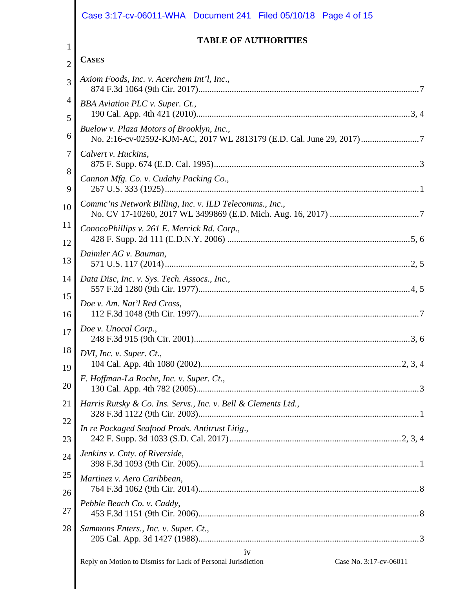|                | Case 3:17-cv-06011-WHA  Document 241  Filed 05/10/18  Page 4 of 15                           |
|----------------|----------------------------------------------------------------------------------------------|
| 1              | <b>TABLE OF AUTHORITIES</b>                                                                  |
| $\overline{2}$ | <b>CASES</b>                                                                                 |
| 3              | Axiom Foods, Inc. v. Acerchem Int'l, Inc.,                                                   |
| 4<br>5         | <b>BBA</b> Aviation PLC v. Super. Ct.,                                                       |
| 6              | Buelow v. Plaza Motors of Brooklyn, Inc.,                                                    |
| 7              | Calvert v. Huckins,                                                                          |
| 8<br>9         | Cannon Mfg. Co. v. Cudahy Packing Co.,                                                       |
| 10             | Commc'ns Network Billing, Inc. v. ILD Telecomms., Inc.,                                      |
| 11<br>12       | ConocoPhillips v. 261 E. Merrick Rd. Corp.,                                                  |
| 13             | Daimler AG v. Bauman,                                                                        |
| 14             | Data Disc, Inc. v. Sys. Tech. Assocs., Inc.,                                                 |
| 15<br>16       | Doe v. Am. Nat'l Red Cross,                                                                  |
|                | $17 \parallel Doe$ v. Unocal Corp.,                                                          |
| 18<br>19       | DVI, Inc. v. Super. Ct.,                                                                     |
| 20             | F. Hoffman-La Roche, Inc. v. Super. Ct.,                                                     |
| 21             | Harris Rutsky & Co. Ins. Servs., Inc. v. Bell & Clements Ltd.,                               |
| 22<br>23       | In re Packaged Seafood Prods. Antitrust Litig.,                                              |
| 24             | Jenkins v. Cnty. of Riverside,                                                               |
| 25<br>26       | Martinez v. Aero Caribbean,                                                                  |
| 27             | Pebble Beach Co. v. Caddy,                                                                   |
| 28             | Sammons Enters., Inc. v. Super. Ct.,                                                         |
|                | 1V<br>Case No. 3:17-cv-06011<br>Reply on Motion to Dismiss for Lack of Personal Jurisdiction |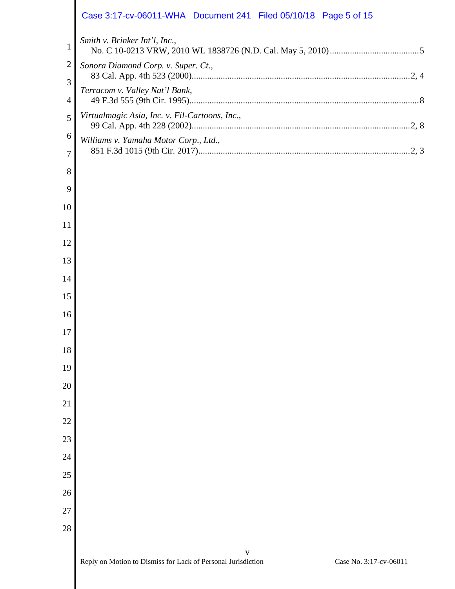|                | Case 3:17-cv-06011-WHA  Document 241  Filed 05/10/18  Page 5 of 15                          |
|----------------|---------------------------------------------------------------------------------------------|
| $\mathbf{1}$   | Smith v. Brinker Int'l, Inc.,                                                               |
| $\mathbf{2}$   | Sonora Diamond Corp. v. Super. Ct.,                                                         |
| 3              | Terracom v. Valley Nat'l Bank,                                                              |
| 4              |                                                                                             |
| 5              | Virtualmagic Asia, Inc. v. Fil-Cartoons, Inc.,                                              |
| 6              | Williams v. Yamaha Motor Corp., Ltd.,                                                       |
| $\overline{7}$ |                                                                                             |
| 8              |                                                                                             |
| 9              |                                                                                             |
| 10<br>11       |                                                                                             |
| 12             |                                                                                             |
| 13             |                                                                                             |
| 14             |                                                                                             |
| 15             |                                                                                             |
| 16             |                                                                                             |
| 17             |                                                                                             |
| 18             |                                                                                             |
| 19             |                                                                                             |
| 20             |                                                                                             |
| 21             |                                                                                             |
| 22             |                                                                                             |
| 23             |                                                                                             |
| 24             |                                                                                             |
| 25             |                                                                                             |
| 26             |                                                                                             |
| 27             |                                                                                             |
| 28             |                                                                                             |
|                | V<br>Reply on Motion to Dismiss for Lack of Personal Jurisdiction<br>Case No. 3:17-cv-06011 |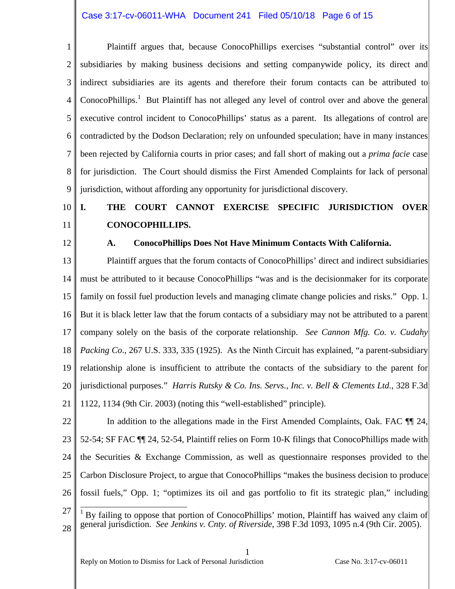#### Case 3:17-cv-06011-WHA Document 241 Filed 05/10/18 Page 6 of 15

1 2 3 4 5 6 7 8 9 Plaintiff argues that, because ConocoPhillips exercises "substantial control" over its subsidiaries by making business decisions and setting companywide policy, its direct and indirect subsidiaries are its agents and therefore their forum contacts can be attributed to ConocoPhillips.<sup>[1](#page-5-0)</sup> But Plaintiff has not alleged any level of control over and above the general executive control incident to ConocoPhillips' status as a parent. Its allegations of control are contradicted by the Dodson Declaration; rely on unfounded speculation; have in many instances been rejected by California courts in prior cases; and fall short of making out a *prima facie* case for jurisdiction. The Court should dismiss the First Amended Complaints for lack of personal jurisdiction, without affording any opportunity for jurisdictional discovery.

#### 10 11 **I. THE COURT CANNOT EXERCISE SPECIFIC JURISDICTION OVER CONOCOPHILLIPS.**

12

#### **A. ConocoPhillips Does Not Have Minimum Contacts With California.**

13 14 15 16 17 18 19 20 21 Plaintiff argues that the forum contacts of ConocoPhillips' direct and indirect subsidiaries must be attributed to it because ConocoPhillips "was and is the decisionmaker for its corporate family on fossil fuel production levels and managing climate change policies and risks." Opp. 1. But it is black letter law that the forum contacts of a subsidiary may not be attributed to a parent company solely on the basis of the corporate relationship. *See Cannon Mfg. Co. v. Cudahy Packing Co*., 267 U.S. 333, 335 (1925). As the Ninth Circuit has explained, "a parent-subsidiary relationship alone is insufficient to attribute the contacts of the subsidiary to the parent for jurisdictional purposes." *Harris Rutsky & Co. Ins. Servs., Inc. v. Bell & Clements Ltd.*, 328 F.3d 1122, 1134 (9th Cir. 2003) (noting this "well-established" principle).

22 23 24 25 26 In addition to the allegations made in the First Amended Complaints, Oak. FAC ¶¶ 24, 52-54; SF FAC ¶¶ 24, 52-54, Plaintiff relies on Form 10-K filings that ConocoPhillips made with the Securities & Exchange Commission, as well as questionnaire responses provided to the Carbon Disclosure Project, to argue that ConocoPhillips "makes the business decision to produce fossil fuels," Opp. 1; "optimizes its oil and gas portfolio to fit its strategic plan," including

- <span id="page-5-0"></span>27 28 1 By failing to oppose that portion of ConocoPhillips' motion, Plaintiff has waived any claim of general jurisdiction. *See Jenkins v. Cnty. of Riverside*, 398 F.3d 1093, 1095 n.4 (9th Cir. 2005).
-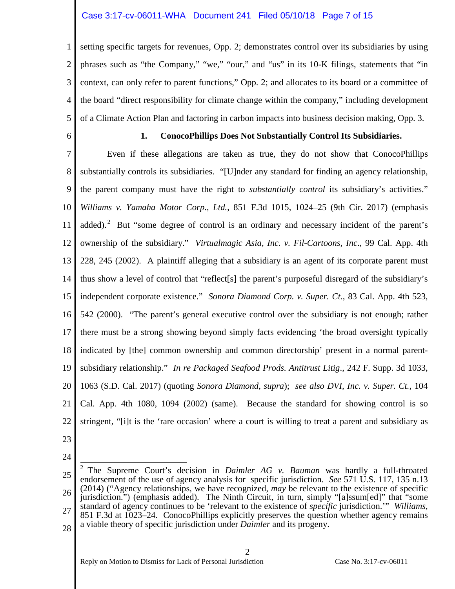#### Case 3:17-cv-06011-WHA Document 241 Filed 05/10/18 Page 7 of 15

1 2 3 4 5 setting specific targets for revenues, Opp. 2; demonstrates control over its subsidiaries by using phrases such as "the Company," "we," "our," and "us" in its 10-K filings, statements that "in context, can only refer to parent functions," Opp. 2; and allocates to its board or a committee of the board "direct responsibility for climate change within the company," including development of a Climate Action Plan and factoring in carbon impacts into business decision making, Opp. 3.

6

#### **1. ConocoPhillips Does Not Substantially Control Its Subsidiaries.**

7 8 9 10 11 12 13 14 15 16 17 18 19 20 21 22 Even if these allegations are taken as true, they do not show that ConocoPhillips substantially controls its subsidiaries. "[U]nder any standard for finding an agency relationship, the parent company must have the right to *substantially control* its subsidiary's activities." *Williams v. Yamaha Motor Corp*.*, Ltd.*, 851 F.3d 1015, 1024–25 (9th Cir. 2017) (emphasis added).<sup>[2](#page-6-0)</sup> But "some degree of control is an ordinary and necessary incident of the parent's ownership of the subsidiary." *Virtualmagic Asia, Inc. v. Fil-Cartoons, Inc*., 99 Cal. App. 4th 228, 245 (2002). A plaintiff alleging that a subsidiary is an agent of its corporate parent must thus show a level of control that "reflect[s] the parent's purposeful disregard of the subsidiary's independent corporate existence." *Sonora Diamond Corp. v. Super. Ct.*, 83 Cal. App. 4th 523, 542 (2000). "The parent's general executive control over the subsidiary is not enough; rather there must be a strong showing beyond simply facts evidencing 'the broad oversight typically indicated by [the] common ownership and common directorship' present in a normal parentsubsidiary relationship." *In re Packaged Seafood Prods. Antitrust Litig*., 242 F. Supp. 3d 1033, 1063 (S.D. Cal. 2017) (quoting *Sonora Diamond*, *supra*); *see also DVI, Inc. v. Super. Ct.*, 104 Cal. App. 4th 1080, 1094 (2002) (same). Because the standard for showing control is so stringent, "[i]t is the 'rare occasion' where a court is willing to treat a parent and subsidiary as

- 23
- 24

2

<span id="page-6-0"></span><sup>25</sup> 26 27 2 The Supreme Court's decision in *Daimler AG v. Bauman* was hardly a full-throated endorsement of the use of agency analysis for specific jurisdiction. *See* 571 U.S. 117, 135 n.13 (2014) ("Agency relationships, we have recognized, *may* be relevant to the existence of specific jurisdiction.") (emphasis added). The Ninth Circuit, in turn, simply "[a]ssum[ed]" that "some standard of agency continues to be 'relevant to the existence of *specific* jurisdiction.'" *Williams*, 851 F.3d at 1023–24. ConocoPhillips explicitly preserves the question whether agency remains a viable theory of specific jurisdiction under *Daimler* and its progeny.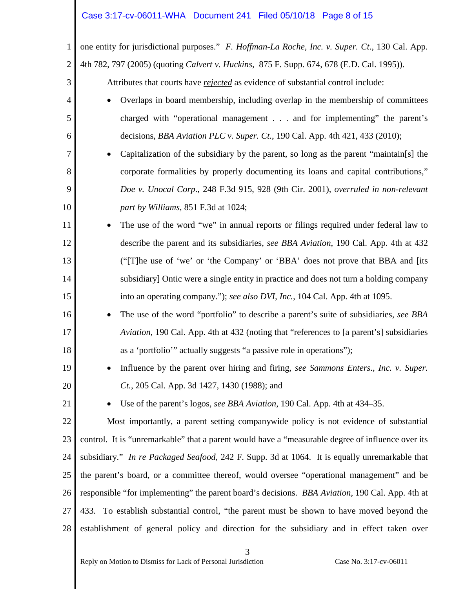# Case 3:17-cv-06011-WHA Document 241 Filed 05/10/18 Page 8 of 15

| $\mathbf{1}$   | one entity for jurisdictional purposes." F. Hoffman-La Roche, Inc. v. Super. Ct., 130 Cal. App.   |
|----------------|---------------------------------------------------------------------------------------------------|
| $\overline{2}$ | 4th 782, 797 (2005) (quoting Calvert v. Huckins, 875 F. Supp. 674, 678 (E.D. Cal. 1995)).         |
| 3              | Attributes that courts have rejected as evidence of substantial control include:                  |
| 4              | Overlaps in board membership, including overlap in the membership of committees                   |
| 5              | charged with "operational management and for implementing" the parent's                           |
| 6              | decisions, BBA Aviation PLC v. Super. Ct., 190 Cal. App. 4th 421, 433 (2010);                     |
| 7              | Capitalization of the subsidiary by the parent, so long as the parent "maintain[s] the            |
| 8              | corporate formalities by properly documenting its loans and capital contributions,"               |
| 9              | Doe v. Unocal Corp., 248 F.3d 915, 928 (9th Cir. 2001), overruled in non-relevant                 |
| 10             | part by Williams, 851 F.3d at 1024;                                                               |
| 11             | The use of the word "we" in annual reports or filings required under federal law to               |
| 12             | describe the parent and its subsidiaries, see BBA Aviation, 190 Cal. App. 4th at 432              |
| 13             | ("[T]he use of 'we' or 'the Company' or 'BBA' does not prove that BBA and [its                    |
| 14             | subsidiary] Ontic were a single entity in practice and does not turn a holding company            |
| 15             | into an operating company."); see also DVI, Inc., 104 Cal. App. 4th at 1095.                      |
| 16             | The use of the word "portfolio" to describe a parent's suite of subsidiaries, see BBA             |
| 17             | Aviation, 190 Cal. App. 4th at 432 (noting that "references to [a parent's] subsidiaries          |
| 18             | as a 'portfolio'" actually suggests "a passive role in operations");                              |
| 19             | Influence by the parent over hiring and firing, see Sammons Enters., Inc. v. Super.               |
| 20             | Ct., 205 Cal. App. 3d 1427, 1430 (1988); and                                                      |
| 21             | Use of the parent's logos, see BBA Aviation, 190 Cal. App. 4th at 434–35.                         |
| 22             | Most importantly, a parent setting companywide policy is not evidence of substantial              |
| 23             | control. It is "unremarkable" that a parent would have a "measurable degree of influence over its |
| 24             | subsidiary." In re Packaged Seafood, 242 F. Supp. 3d at 1064. It is equally unremarkable that     |
| 25             | the parent's board, or a committee thereof, would oversee "operational management" and be         |
| 26             | responsible "for implementing" the parent board's decisions. BBA Aviation, 190 Cal. App. 4th at   |
| 27             | 433. To establish substantial control, "the parent must be shown to have moved beyond the         |
| 28             | establishment of general policy and direction for the subsidiary and in effect taken over         |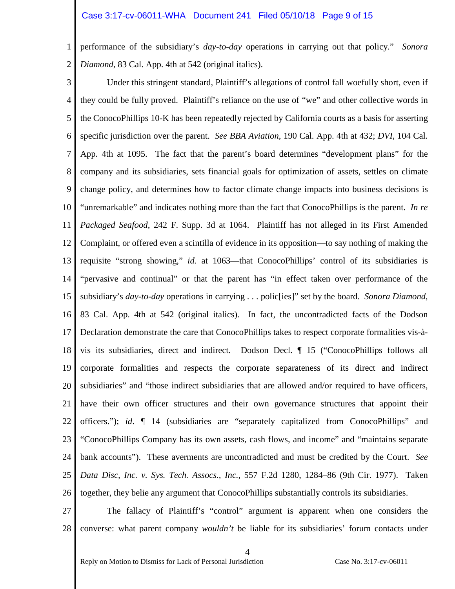#### Case 3:17-cv-06011-WHA Document 241 Filed 05/10/18 Page 9 of 15

1 2 performance of the subsidiary's *day-to-day* operations in carrying out that policy." *Sonora Diamond*, 83 Cal. App. 4th at 542 (original italics).

3 4 5 6 7 8 9 10 11 12 13 14 15 16 17 18 19 20 21 22 23 24 25 26 Under this stringent standard, Plaintiff's allegations of control fall woefully short, even if they could be fully proved. Plaintiff's reliance on the use of "we" and other collective words in the ConocoPhillips 10-K has been repeatedly rejected by California courts as a basis for asserting specific jurisdiction over the parent. *See BBA Aviation*, 190 Cal. App. 4th at 432; *DVI*, 104 Cal. App. 4th at 1095. The fact that the parent's board determines "development plans" for the company and its subsidiaries, sets financial goals for optimization of assets, settles on climate change policy, and determines how to factor climate change impacts into business decisions is "unremarkable" and indicates nothing more than the fact that ConocoPhillips is the parent. *In re Packaged Seafood*, 242 F. Supp. 3d at 1064. Plaintiff has not alleged in its First Amended Complaint, or offered even a scintilla of evidence in its opposition—to say nothing of making the requisite "strong showing," *id.* at 1063—that ConocoPhillips' control of its subsidiaries is "pervasive and continual" or that the parent has "in effect taken over performance of the subsidiary's *day-to-day* operations in carrying . . . polic[ies]" set by the board. *Sonora Diamond*, 83 Cal. App. 4th at 542 (original italics). In fact, the uncontradicted facts of the Dodson Declaration demonstrate the care that ConocoPhillips takes to respect corporate formalities vis-àvis its subsidiaries, direct and indirect. Dodson Decl. ¶ 15 ("ConocoPhillips follows all corporate formalities and respects the corporate separateness of its direct and indirect subsidiaries" and "those indirect subsidiaries that are allowed and/or required to have officers, have their own officer structures and their own governance structures that appoint their officers."); *id*. ¶ 14 (subsidiaries are "separately capitalized from ConocoPhillips" and "ConocoPhillips Company has its own assets, cash flows, and income" and "maintains separate bank accounts"). These averments are uncontradicted and must be credited by the Court. *See Data Disc, Inc. v. Sys. Tech. Assocs., Inc.*, 557 F.2d 1280, 1284–86 (9th Cir. 1977). Taken together, they belie any argument that ConocoPhillips substantially controls its subsidiaries.

27

28 The fallacy of Plaintiff's "control" argument is apparent when one considers the converse: what parent company *wouldn't* be liable for its subsidiaries' forum contacts under

 $\Delta$ 

Reply on Motion to Dismiss for Lack of Personal Jurisdiction Case No. 3:17-cv-06011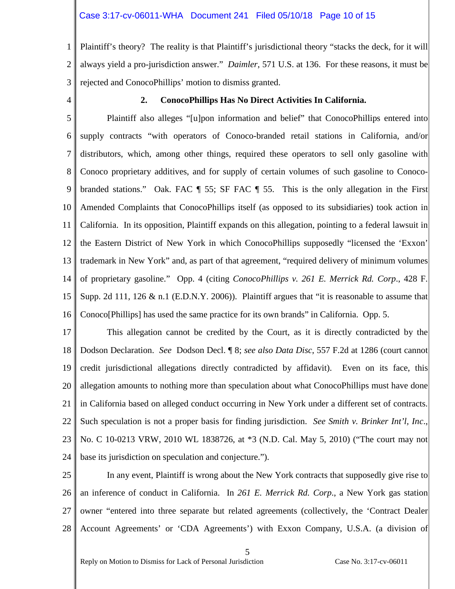#### Case 3:17-cv-06011-WHA Document 241 Filed 05/10/18 Page 10 of 15

1 2 3 Plaintiff's theory? The reality is that Plaintiff's jurisdictional theory "stacks the deck, for it will always yield a pro-jurisdiction answer." *Daimler*, 571 U.S. at 136. For these reasons, it must be rejected and ConocoPhillips' motion to dismiss granted.

4

#### **2. ConocoPhillips Has No Direct Activities In California.**

5 6 7 8 9 10 11 12 13 14 15 16 Plaintiff also alleges "[u]pon information and belief" that ConocoPhillips entered into supply contracts "with operators of Conoco-branded retail stations in California, and/or distributors, which, among other things, required these operators to sell only gasoline with Conoco proprietary additives, and for supply of certain volumes of such gasoline to Conocobranded stations." Oak. FAC ¶ 55; SF FAC ¶ 55. This is the only allegation in the First Amended Complaints that ConocoPhillips itself (as opposed to its subsidiaries) took action in California. In its opposition, Plaintiff expands on this allegation, pointing to a federal lawsuit in the Eastern District of New York in which ConocoPhillips supposedly "licensed the 'Exxon' trademark in New York" and, as part of that agreement, "required delivery of minimum volumes of proprietary gasoline." Opp. 4 (citing *ConocoPhillips v. 261 E. Merrick Rd. Corp*., 428 F. Supp. 2d 111, 126 & n.1 (E.D.N.Y. 2006)). Plaintiff argues that "it is reasonable to assume that Conoco[Phillips] has used the same practice for its own brands" in California. Opp. 5.

17 18 19 20 21 22 23 24 This allegation cannot be credited by the Court, as it is directly contradicted by the Dodson Declaration. *See* Dodson Decl. ¶ 8; *see also Data Disc*, 557 F.2d at 1286 (court cannot credit jurisdictional allegations directly contradicted by affidavit). Even on its face, this allegation amounts to nothing more than speculation about what ConocoPhillips must have done in California based on alleged conduct occurring in New York under a different set of contracts. Such speculation is not a proper basis for finding jurisdiction. *See Smith v. Brinker Int'l, Inc*., No. C 10-0213 VRW, 2010 WL 1838726, at \*3 (N.D. Cal. May 5, 2010) ("The court may not base its jurisdiction on speculation and conjecture.").

25 26 27 28 In any event, Plaintiff is wrong about the New York contracts that supposedly give rise to an inference of conduct in California. In *261 E. Merrick Rd. Corp*., a New York gas station owner "entered into three separate but related agreements (collectively, the 'Contract Dealer Account Agreements' or 'CDA Agreements') with Exxon Company, U.S.A. (a division of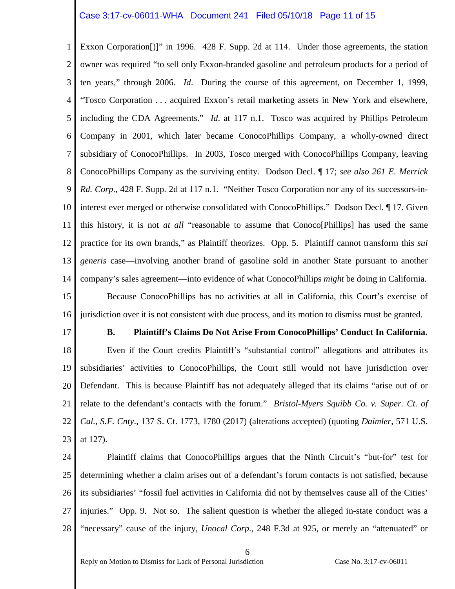#### Case 3:17-cv-06011-WHA Document 241 Filed 05/10/18 Page 11 of 15

1 2 3 4 5 6 7 8 9 10 11 12 13 14 15 16 Exxon Corporation[)]" in 1996. 428 F. Supp. 2d at 114. Under those agreements, the station owner was required "to sell only Exxon-branded gasoline and petroleum products for a period of ten years," through 2006. *Id*. During the course of this agreement, on December 1, 1999, "Tosco Corporation . . . acquired Exxon's retail marketing assets in New York and elsewhere, including the CDA Agreements." *Id*. at 117 n.1. Tosco was acquired by Phillips Petroleum Company in 2001, which later became ConocoPhillips Company, a wholly-owned direct subsidiary of ConocoPhillips. In 2003, Tosco merged with ConocoPhillips Company, leaving ConocoPhillips Company as the surviving entity. Dodson Decl. ¶ 17; *see also 261 E. Merrick Rd. Corp*., 428 F. Supp. 2d at 117 n.1. "Neither Tosco Corporation nor any of its successors-ininterest ever merged or otherwise consolidated with ConocoPhillips." Dodson Decl. ¶ 17. Given this history, it is not *at all* "reasonable to assume that Conoco[Phillips] has used the same practice for its own brands," as Plaintiff theorizes. Opp. 5. Plaintiff cannot transform this *sui generis* case—involving another brand of gasoline sold in another State pursuant to another company's sales agreement—into evidence of what ConocoPhillips *might* be doing in California. Because ConocoPhillips has no activities at all in California, this Court's exercise of jurisdiction over it is not consistent with due process, and its motion to dismiss must be granted.

17

### **B. Plaintiff's Claims Do Not Arise From ConocoPhillips' Conduct In California.**

18 19 20 21 22 23 Even if the Court credits Plaintiff's "substantial control" allegations and attributes its subsidiaries' activities to ConocoPhillips, the Court still would not have jurisdiction over Defendant. This is because Plaintiff has not adequately alleged that its claims "arise out of or relate to the defendant's contacts with the forum." *Bristol-Myers Squibb Co. v. Super. Ct. of Cal., S.F. Cnty*., 137 S. Ct. 1773, 1780 (2017) (alterations accepted) (quoting *Daimler*, 571 U.S. at 127).

24 25 26 27 28 Plaintiff claims that ConocoPhillips argues that the Ninth Circuit's "but-for" test for determining whether a claim arises out of a defendant's forum contacts is not satisfied, because its subsidiaries' "fossil fuel activities in California did not by themselves cause all of the Cities' injuries." Opp. 9. Not so. The salient question is whether the alleged in-state conduct was a "necessary" cause of the injury, *Unocal Corp*., 248 F.3d at 925, or merely an "attenuated" or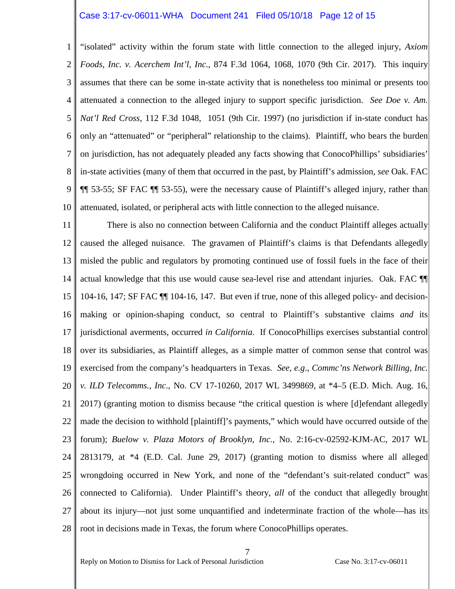#### Case 3:17-cv-06011-WHA Document 241 Filed 05/10/18 Page 12 of 15

1 2 3 4 5 6 7 8 9 10 "isolated" activity within the forum state with little connection to the alleged injury, *Axiom Foods, Inc. v. Acerchem Int'l, Inc*., 874 F.3d 1064, 1068, 1070 (9th Cir. 2017). This inquiry assumes that there can be some in-state activity that is nonetheless too minimal or presents too attenuated a connection to the alleged injury to support specific jurisdiction. *See Doe v. Am. Nat'l Red Cross*, 112 F.3d 1048, 1051 (9th Cir. 1997) (no jurisdiction if in-state conduct has only an "attenuated" or "peripheral" relationship to the claims). Plaintiff, who bears the burden on jurisdiction, has not adequately pleaded any facts showing that ConocoPhillips' subsidiaries' in-state activities (many of them that occurred in the past, by Plaintiff's admission, *see* Oak. FAC ¶¶ 53-55; SF FAC ¶¶ 53-55), were the necessary cause of Plaintiff's alleged injury, rather than attenuated, isolated, or peripheral acts with little connection to the alleged nuisance.

11 12 13 14 15 16 17 18 19 20 21 22 23 24 25 26 27 28 There is also no connection between California and the conduct Plaintiff alleges actually caused the alleged nuisance. The gravamen of Plaintiff's claims is that Defendants allegedly misled the public and regulators by promoting continued use of fossil fuels in the face of their actual knowledge that this use would cause sea-level rise and attendant injuries. Oak. FAC ¶¶ 104-16, 147; SF FAC ¶¶ 104-16, 147. But even if true, none of this alleged policy- and decisionmaking or opinion-shaping conduct, so central to Plaintiff's substantive claims *and* its jurisdictional averments, occurred *in California*. If ConocoPhillips exercises substantial control over its subsidiaries, as Plaintiff alleges, as a simple matter of common sense that control was exercised from the company's headquarters in Texas. *See, e.g*., *Commc'ns Network Billing, Inc. v. ILD Telecomms., Inc*., No. CV 17-10260, 2017 WL 3499869, at \*4–5 (E.D. Mich. Aug. 16, 2017) (granting motion to dismiss because "the critical question is where [d]efendant allegedly made the decision to withhold [plaintiff]'s payments," which would have occurred outside of the forum); *Buelow v. Plaza Motors of Brooklyn, Inc*., No. 2:16-cv-02592-KJM-AC, 2017 WL 2813179, at \*4 (E.D. Cal. June 29, 2017) (granting motion to dismiss where all alleged wrongdoing occurred in New York, and none of the "defendant's suit-related conduct" was connected to California). Under Plaintiff's theory, *all* of the conduct that allegedly brought about its injury—not just some unquantified and indeterminate fraction of the whole—has its root in decisions made in Texas, the forum where ConocoPhillips operates.

Reply on Motion to Dismiss for Lack of Personal Jurisdiction Case No. 3:17-cv-06011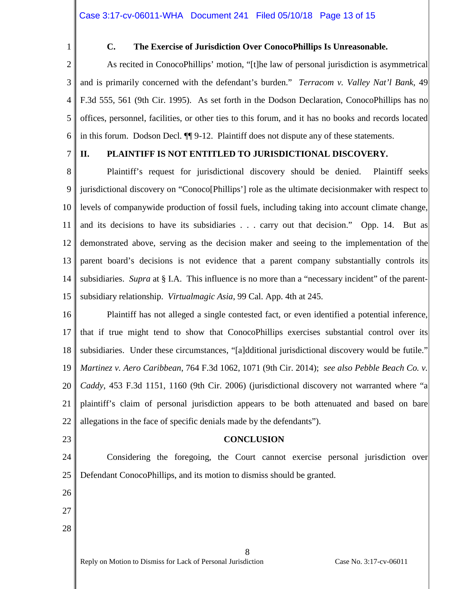1

#### **C. The Exercise of Jurisdiction Over ConocoPhillips Is Unreasonable.**

2 3 4 5 6 As recited in ConocoPhillips' motion, "[t]he law of personal jurisdiction is asymmetrical and is primarily concerned with the defendant's burden." *Terracom v. Valley Nat'l Bank*, 49 F.3d 555, 561 (9th Cir. 1995). As set forth in the Dodson Declaration, ConocoPhillips has no offices, personnel, facilities, or other ties to this forum, and it has no books and records located in this forum. Dodson Decl. ¶¶ 9-12. Plaintiff does not dispute any of these statements.

#### 7 **II. PLAINTIFF IS NOT ENTITLED TO JURISDICTIONAL DISCOVERY.**

8 9 10 11 12 13 14 15 Plaintiff's request for jurisdictional discovery should be denied. Plaintiff seeks jurisdictional discovery on "Conoco[Phillips'] role as the ultimate decisionmaker with respect to levels of companywide production of fossil fuels, including taking into account climate change, and its decisions to have its subsidiaries . . . carry out that decision." Opp. 14. But as demonstrated above, serving as the decision maker and seeing to the implementation of the parent board's decisions is not evidence that a parent company substantially controls its subsidiaries. *Supra* at § I.A. This influence is no more than a "necessary incident" of the parentsubsidiary relationship. *Virtualmagic Asia*, 99 Cal. App. 4th at 245.

16 17 18 19 20 21 22 Plaintiff has not alleged a single contested fact, or even identified a potential inference, that if true might tend to show that ConocoPhillips exercises substantial control over its subsidiaries. Under these circumstances, "[a]dditional jurisdictional discovery would be futile." *Martinez v. Aero Caribbean*, 764 F.3d 1062, 1071 (9th Cir. 2014); *see also Pebble Beach Co. v. Caddy*, 453 F.3d 1151, 1160 (9th Cir. 2006) (jurisdictional discovery not warranted where "a plaintiff's claim of personal jurisdiction appears to be both attenuated and based on bare allegations in the face of specific denials made by the defendants").

# 23

## **CONCLUSION**

24 25 Considering the foregoing, the Court cannot exercise personal jurisdiction over Defendant ConocoPhillips, and its motion to dismiss should be granted.

8

- 26 27
- 28

Reply on Motion to Dismiss for Lack of Personal Jurisdiction Case No. 3:17-cv-06011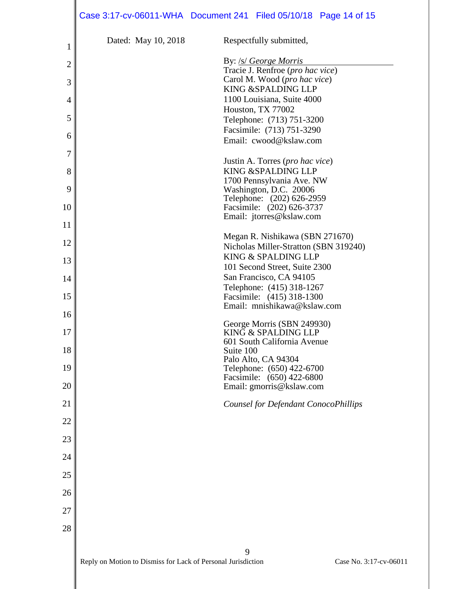|                |                                                              | Case 3:17-cv-06011-WHA  Document 241  Filed 05/10/18  Page 14 of 15 |  |
|----------------|--------------------------------------------------------------|---------------------------------------------------------------------|--|
| 1              | Dated: May 10, 2018                                          | Respectfully submitted,                                             |  |
| $\overline{2}$ |                                                              | By: /s/ George Morris                                               |  |
|                |                                                              | Tracie J. Renfroe (pro hac vice)                                    |  |
| 3              |                                                              | Carol M. Wood (pro hac vice)<br>KING & SPALDING LLP                 |  |
| 4              |                                                              | 1100 Louisiana, Suite 4000                                          |  |
|                |                                                              | Houston, TX 77002                                                   |  |
| 5              |                                                              | Telephone: (713) 751-3200<br>Facsimile: (713) 751-3290              |  |
| 6              |                                                              | Email: cwood@kslaw.com                                              |  |
| 7              |                                                              |                                                                     |  |
| 8              |                                                              | Justin A. Torres (pro hac vice)<br>KING & SPALDING LLP              |  |
|                |                                                              | 1700 Pennsylvania Ave. NW                                           |  |
| 9              |                                                              | Washington, D.C. 20006                                              |  |
| 10             |                                                              | Telephone: (202) 626-2959<br>Facsimile: (202) 626-3737              |  |
|                |                                                              | Email: jtorres@kslaw.com                                            |  |
| 11             |                                                              | Megan R. Nishikawa (SBN 271670)                                     |  |
| 12             |                                                              | Nicholas Miller-Stratton (SBN 319240)                               |  |
| 13             |                                                              | KING & SPALDING LLP                                                 |  |
| 14             |                                                              | 101 Second Street, Suite 2300<br>San Francisco, CA 94105            |  |
|                |                                                              | Telephone: (415) 318-1267                                           |  |
| 15             |                                                              | Facsimile: (415) 318-1300                                           |  |
| 16             |                                                              | Email: mnishikawa@kslaw.com                                         |  |
| 17             |                                                              | George Morris (SBN 249930)<br>KING & SPALDING LLP                   |  |
|                |                                                              | 601 South California Avenue                                         |  |
| 18             |                                                              | Suite 100                                                           |  |
| 19             |                                                              | Palo Alto, CA 94304<br>Telephone: (650) 422-6700                    |  |
| 20             |                                                              | Facsimile: (650) 422-6800                                           |  |
|                |                                                              | Email: gmorris@kslaw.com                                            |  |
| 21             |                                                              | Counsel for Defendant ConocoPhillips                                |  |
| 22             |                                                              |                                                                     |  |
| 23             |                                                              |                                                                     |  |
| 24             |                                                              |                                                                     |  |
| 25             |                                                              |                                                                     |  |
|                |                                                              |                                                                     |  |
| 26             |                                                              |                                                                     |  |
| 27             |                                                              |                                                                     |  |
| 28             |                                                              |                                                                     |  |
|                |                                                              | 9                                                                   |  |
|                | Reply on Motion to Dismiss for Lack of Personal Jurisdiction | Case No. 3:17-cv-06011                                              |  |